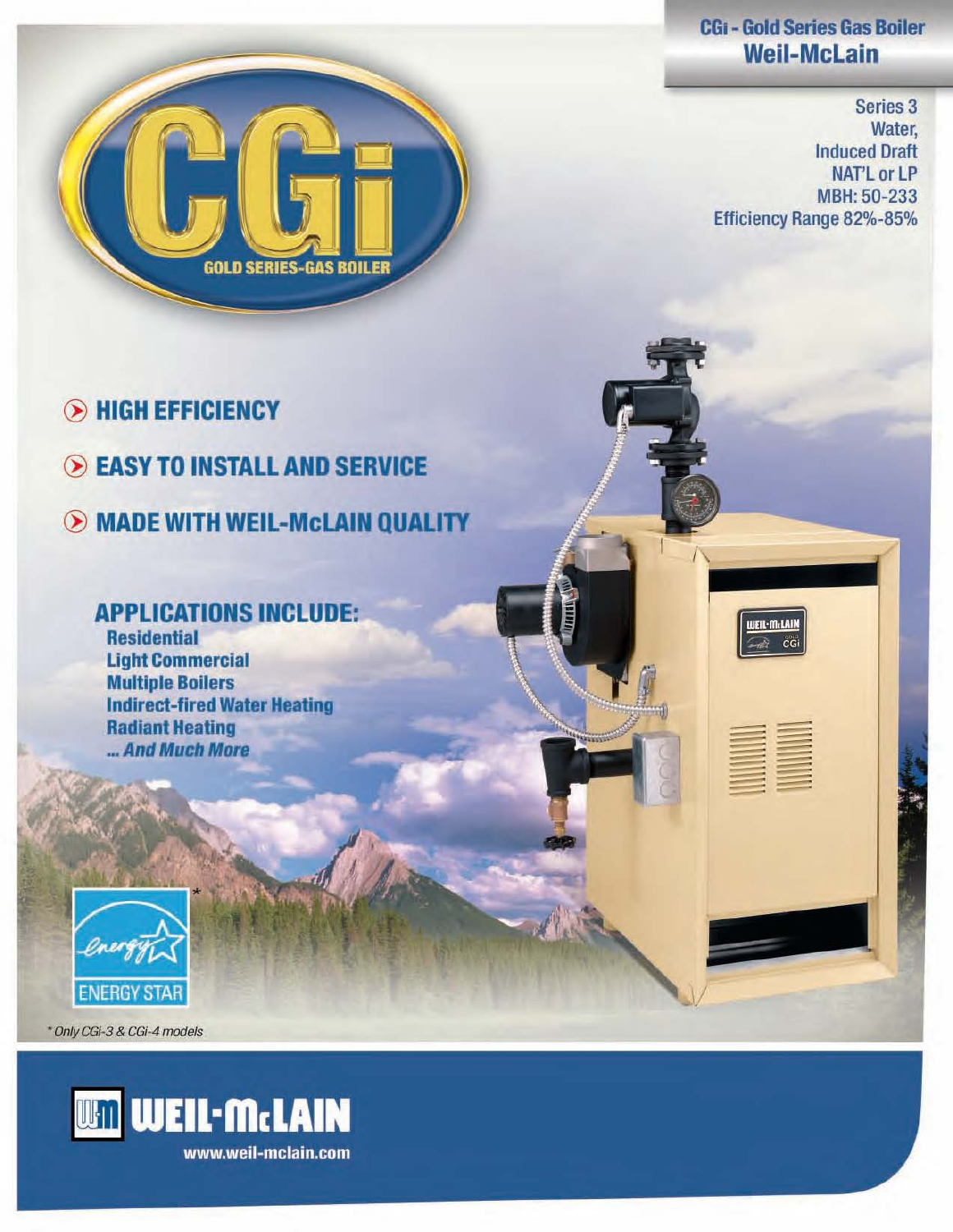### CGi - Gold Series Gas Boiler Weii-McLain

Series 3 Water, Induced Draft NAT'LorLP MBH:50-233 Efficiency Range 82%-85%

ender der der den stadt antagen antagen antagen antagen antagen antagen antagen antagen antagen antagen antagen antagen antagen antagen antagen antagen antagen antagen antagen antagen antagen antagen antagen antagen antage - es de la comprendita de la compression de la compression de la compression de la compression de la compression<br>La compression de la compression de la compression de la compression de la compression de la compression de la --

UEIL-M.LAIN

----== ===

--



- (B HIGH EFFICIENCY
- **EASY TO INSTALL AND SERVICE**
- $\odot$  MADE WITH WEIL-McLAIN QUALITY

### APPLICATIONS INCLUDE:

**Residential Light Commercial** Multiple Boilers Indirect-fired Water Heating Radiant Heating ... And Much More



\* Only CGi-3 & CGi-4 models